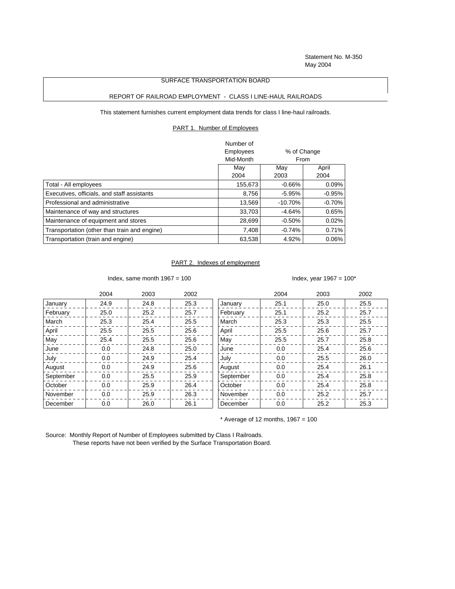Statement No. M-350 May 2004

## SURFACE TRANSPORTATION BOARD

## REPORT OF RAILROAD EMPLOYMENT - CLASS I LINE-HAUL RAILROADS

This statement furnishes current employment data trends for class I line-haul railroads.

PART 1. Number of Employees

|                                              | Number of        |             |          |  |
|----------------------------------------------|------------------|-------------|----------|--|
|                                              | <b>Employees</b> | % of Change |          |  |
|                                              | Mid-Month        |             | From     |  |
|                                              | Mav              | Mav         | April    |  |
|                                              | 2004             | 2003        | 2004     |  |
| Total - All employees                        | 155,673          | $-0.66%$    | 0.09%    |  |
| Executives, officials, and staff assistants  | 8.756            | $-5.95%$    | $-0.95%$ |  |
| Professional and administrative              | 13.569           | $-10.70%$   | $-0.70%$ |  |
| Maintenance of way and structures            | 33.703           | $-4.64%$    | 0.65%    |  |
| Maintenance of equipment and stores          | 28.699           | $-0.50%$    | 0.02%    |  |
| Transportation (other than train and engine) | 7.408            | $-0.74%$    | 0.71%    |  |
| Transportation (train and engine)            | 63,538           | 4.92%       | $0.06\%$ |  |

## PART 2. Indexes of employment

Index, same month  $1967 = 100$  Index, year  $1967 = 100^*$ 

|           | 2004    | 2003 | 2002 |           | 2004 | 2003 | 2002 |
|-----------|---------|------|------|-----------|------|------|------|
| January   | 24.9    | 24.8 | 25.3 | January   | 25.1 | 25.0 | 25.5 |
| February  | 25.0    | 25.2 | 25.7 | February  | 25.1 | 25.2 | 25.7 |
| March     | 25.3    | 25.4 | 25.5 | March     | 25.3 | 25.3 | 25.5 |
| April     | 25.5    | 25.5 | 25.6 | April     | 25.5 | 25.6 | 25.7 |
| May       | 25.4    | 25.5 | 25.6 | May       | 25.5 | 25.7 | 25.8 |
| June      | $0.0\,$ | 24.8 | 25.0 | June      | 0.0  | 25.4 | 25.6 |
| July      | $0.0\,$ | 24.9 | 25.4 | July      | 0.0  | 25.5 | 26.0 |
| August    | 0.0     | 24.9 | 25.6 | August    | 0.0  | 25.4 | 26.1 |
| September | 0.0     | 25.5 | 25.9 | September | 0.0  | 25.4 | 25.8 |
| October   | 0.0     | 25.9 | 26.4 | October   | 0.0  | 25.4 | 25.8 |
| November  | 0.0     | 25.9 | 26.3 | November  | 0.0  | 25.2 | 25.7 |
| December  | 0.0     | 26.0 | 26.1 | December  | 0.0  | 25.2 | 25.3 |

 $*$  Average of 12 months, 1967 = 100

Source: Monthly Report of Number of Employees submitted by Class I Railroads. These reports have not been verified by the Surface Transportation Board.